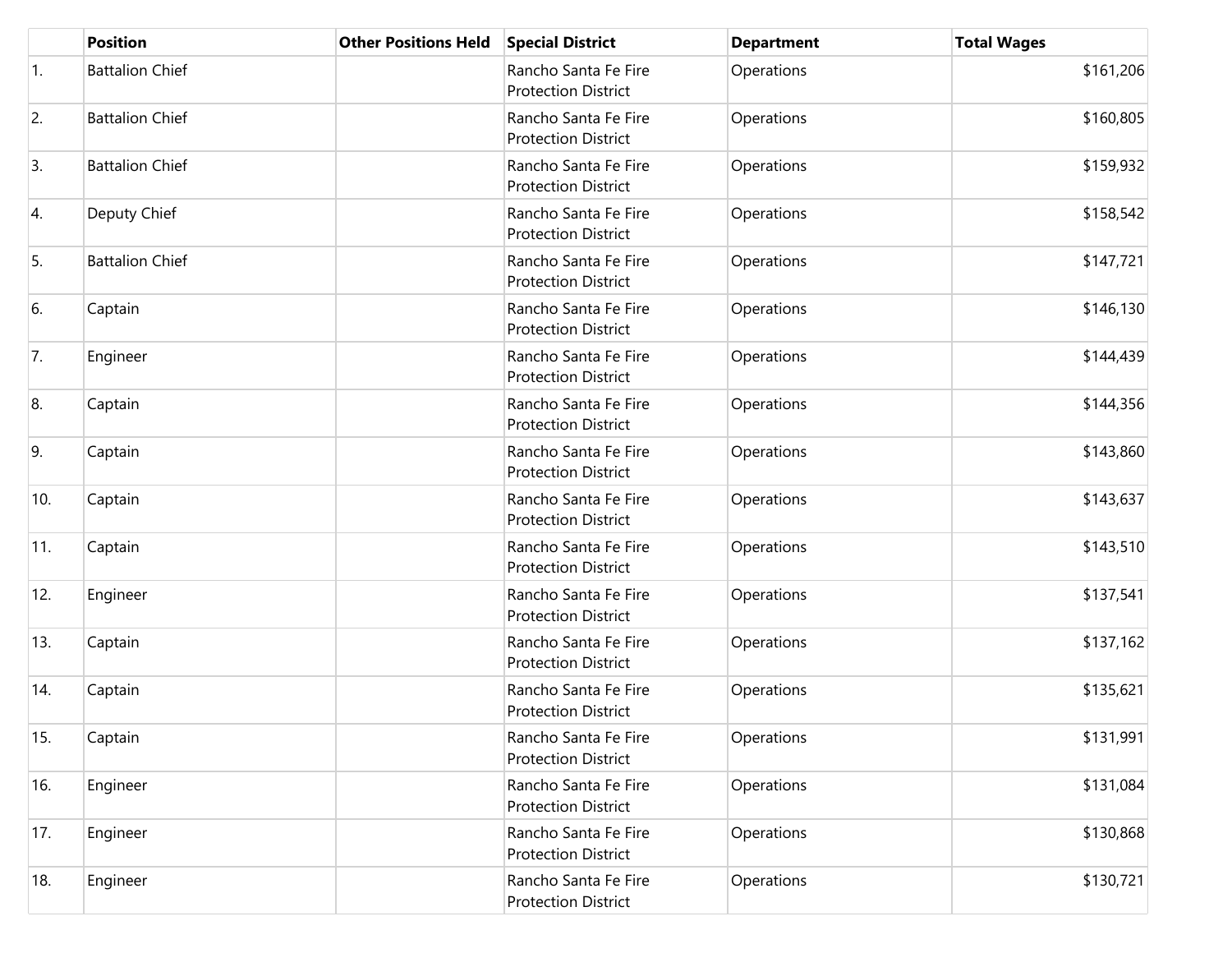|     | <b>Position</b>        | <b>Other Positions Held</b> | <b>Special District</b>                            | <b>Department</b> | <b>Total Wages</b> |
|-----|------------------------|-----------------------------|----------------------------------------------------|-------------------|--------------------|
| 1.  | <b>Battalion Chief</b> |                             | Rancho Santa Fe Fire<br><b>Protection District</b> | Operations        | \$161,206          |
| 2.  | <b>Battalion Chief</b> |                             | Rancho Santa Fe Fire<br><b>Protection District</b> | Operations        | \$160,805          |
| 3.  | <b>Battalion Chief</b> |                             | Rancho Santa Fe Fire<br><b>Protection District</b> | Operations        | \$159,932          |
| 4.  | Deputy Chief           |                             | Rancho Santa Fe Fire<br><b>Protection District</b> | Operations        | \$158,542          |
| 5.  | <b>Battalion Chief</b> |                             | Rancho Santa Fe Fire<br><b>Protection District</b> | Operations        | \$147,721          |
| 6.  | Captain                |                             | Rancho Santa Fe Fire<br><b>Protection District</b> | Operations        | \$146,130          |
| 7.  | Engineer               |                             | Rancho Santa Fe Fire<br><b>Protection District</b> | Operations        | \$144,439          |
| 8.  | Captain                |                             | Rancho Santa Fe Fire<br><b>Protection District</b> | Operations        | \$144,356          |
| 9.  | Captain                |                             | Rancho Santa Fe Fire<br><b>Protection District</b> | Operations        | \$143,860          |
| 10. | Captain                |                             | Rancho Santa Fe Fire<br><b>Protection District</b> | Operations        | \$143,637          |
| 11. | Captain                |                             | Rancho Santa Fe Fire<br><b>Protection District</b> | Operations        | \$143,510          |
| 12. | Engineer               |                             | Rancho Santa Fe Fire<br><b>Protection District</b> | Operations        | \$137,541          |
| 13. | Captain                |                             | Rancho Santa Fe Fire<br><b>Protection District</b> | Operations        | \$137,162          |
| 14. | Captain                |                             | Rancho Santa Fe Fire<br><b>Protection District</b> | Operations        | \$135,621          |
| 15. | Captain                |                             | Rancho Santa Fe Fire<br><b>Protection District</b> | Operations        | \$131,991          |
| 16. | Engineer               |                             | Rancho Santa Fe Fire<br><b>Protection District</b> | Operations        | \$131,084          |
| 17. | Engineer               |                             | Rancho Santa Fe Fire<br><b>Protection District</b> | Operations        | \$130,868          |
| 18. | Engineer               |                             | Rancho Santa Fe Fire<br><b>Protection District</b> | Operations        | \$130,721          |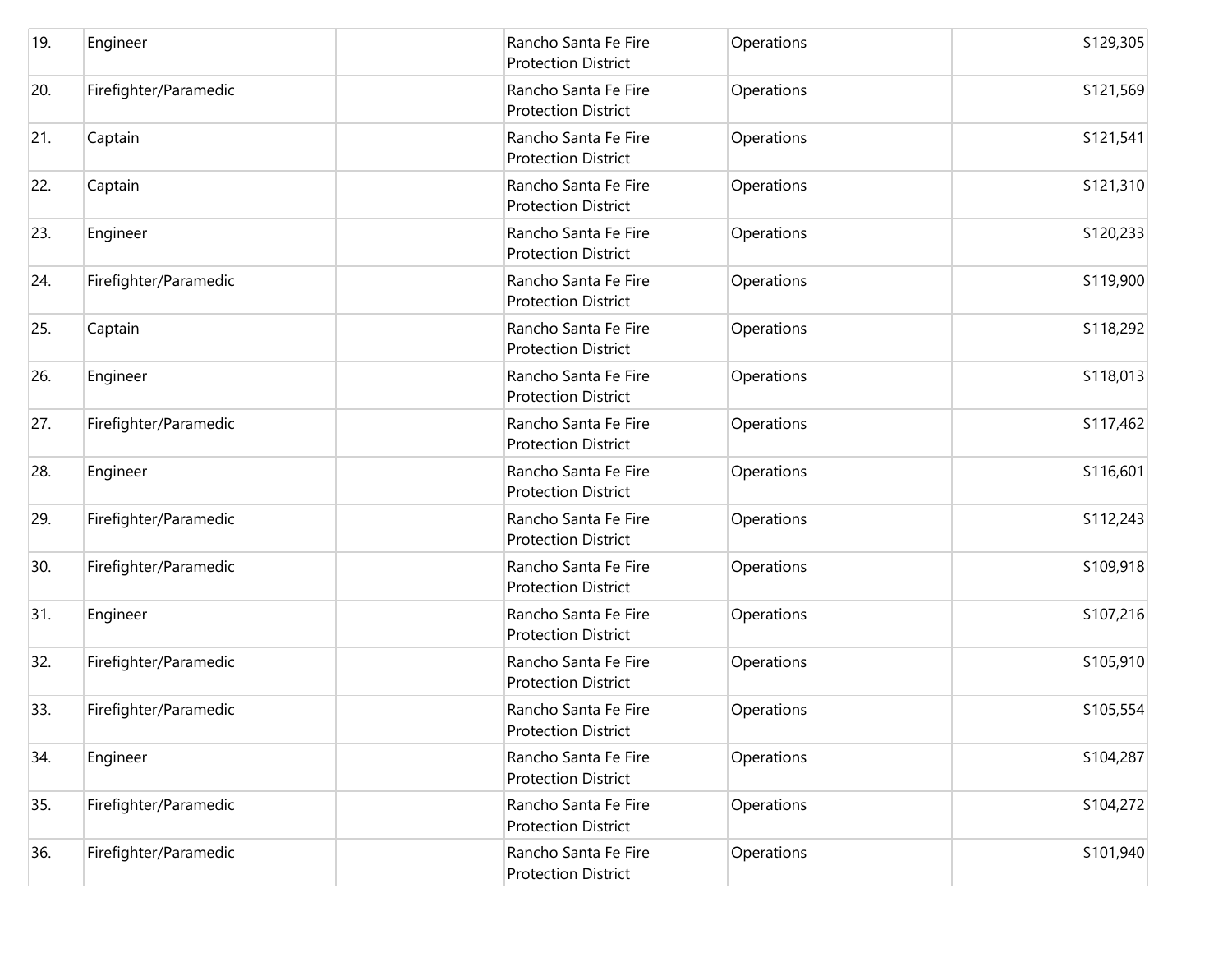| 19. | Engineer              | Rancho Santa Fe Fire<br><b>Protection District</b> | Operations | \$129,305 |
|-----|-----------------------|----------------------------------------------------|------------|-----------|
| 20. | Firefighter/Paramedic | Rancho Santa Fe Fire<br><b>Protection District</b> | Operations | \$121,569 |
| 21. | Captain               | Rancho Santa Fe Fire<br><b>Protection District</b> | Operations | \$121,541 |
| 22. | Captain               | Rancho Santa Fe Fire<br><b>Protection District</b> | Operations | \$121,310 |
| 23. | Engineer              | Rancho Santa Fe Fire<br><b>Protection District</b> | Operations | \$120,233 |
| 24. | Firefighter/Paramedic | Rancho Santa Fe Fire<br><b>Protection District</b> | Operations | \$119,900 |
| 25. | Captain               | Rancho Santa Fe Fire<br><b>Protection District</b> | Operations | \$118,292 |
| 26. | Engineer              | Rancho Santa Fe Fire<br><b>Protection District</b> | Operations | \$118,013 |
| 27. | Firefighter/Paramedic | Rancho Santa Fe Fire<br><b>Protection District</b> | Operations | \$117,462 |
| 28. | Engineer              | Rancho Santa Fe Fire<br><b>Protection District</b> | Operations | \$116,601 |
| 29. | Firefighter/Paramedic | Rancho Santa Fe Fire<br><b>Protection District</b> | Operations | \$112,243 |
| 30. | Firefighter/Paramedic | Rancho Santa Fe Fire<br><b>Protection District</b> | Operations | \$109,918 |
| 31. | Engineer              | Rancho Santa Fe Fire<br><b>Protection District</b> | Operations | \$107,216 |
| 32. | Firefighter/Paramedic | Rancho Santa Fe Fire<br><b>Protection District</b> | Operations | \$105,910 |
| 33. | Firefighter/Paramedic | Rancho Santa Fe Fire<br><b>Protection District</b> | Operations | \$105,554 |
| 34. | Engineer              | Rancho Santa Fe Fire<br><b>Protection District</b> | Operations | \$104,287 |
| 35. | Firefighter/Paramedic | Rancho Santa Fe Fire<br><b>Protection District</b> | Operations | \$104,272 |
| 36. | Firefighter/Paramedic | Rancho Santa Fe Fire<br><b>Protection District</b> | Operations | \$101,940 |